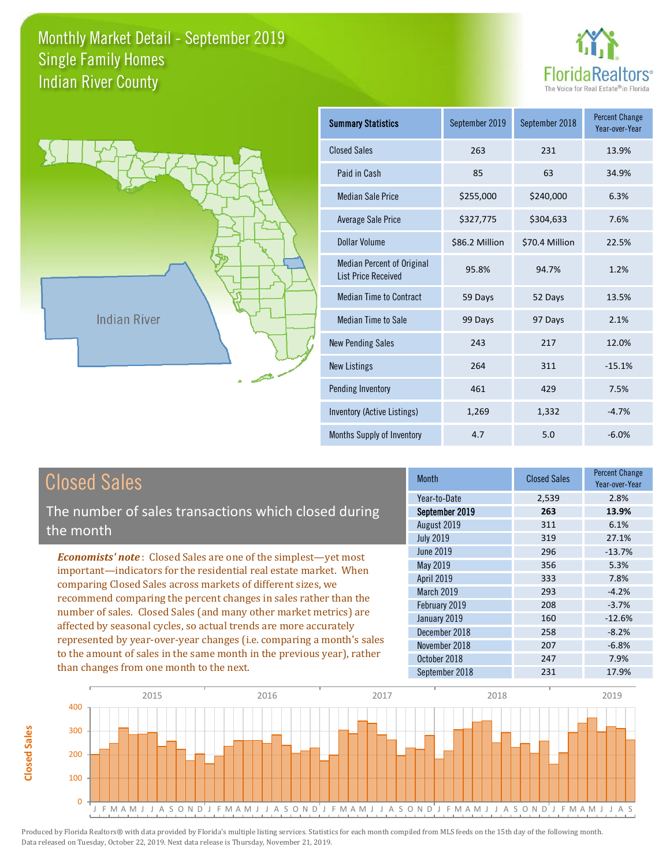



**Closed Sales**

**Closed Sales** 

| <b>Summary Statistics</b>                                       | September 2019 | September 2018 | <b>Percent Change</b><br>Year-over-Year |
|-----------------------------------------------------------------|----------------|----------------|-----------------------------------------|
| <b>Closed Sales</b>                                             | 263            | 231            | 13.9%                                   |
| Paid in Cash                                                    | 85             | 63             | 34.9%                                   |
| <b>Median Sale Price</b>                                        | \$255,000      | \$240,000      | 6.3%                                    |
| Average Sale Price                                              | \$327,775      | \$304,633      | 7.6%                                    |
| Dollar Volume                                                   | \$86.2 Million | \$70.4 Million | 22.5%                                   |
| <b>Median Percent of Original</b><br><b>List Price Received</b> | 95.8%          | 94.7%          | 1.2%                                    |
| <b>Median Time to Contract</b>                                  | 59 Days        | 52 Days        | 13.5%                                   |
| Median Time to Sale                                             | 99 Days        | 97 Days        | 2.1%                                    |
| <b>New Pending Sales</b>                                        | 243            | 217            | 12.0%                                   |
| <b>New Listings</b>                                             | 264            | 311            | $-15.1%$                                |
| Pending Inventory                                               | 461            | 429            | 7.5%                                    |
| Inventory (Active Listings)                                     | 1,269          | 1,332          | $-4.7%$                                 |
| Months Supply of Inventory                                      | 4.7            | 5.0            | $-6.0%$                                 |

| <b>Closed Sales</b>                                                                                                                                                                                                                                                                                                                                                                                                                                                                                                                                                                                                      | <b>Month</b>                                                                                                                                                  | <b>Closed Sales</b>                                                | <b>Percent Change</b><br>Year-over-Year                                                           |
|--------------------------------------------------------------------------------------------------------------------------------------------------------------------------------------------------------------------------------------------------------------------------------------------------------------------------------------------------------------------------------------------------------------------------------------------------------------------------------------------------------------------------------------------------------------------------------------------------------------------------|---------------------------------------------------------------------------------------------------------------------------------------------------------------|--------------------------------------------------------------------|---------------------------------------------------------------------------------------------------|
| The number of sales transactions which closed during                                                                                                                                                                                                                                                                                                                                                                                                                                                                                                                                                                     | Year-to-Date                                                                                                                                                  | 2,539                                                              | 2.8%                                                                                              |
|                                                                                                                                                                                                                                                                                                                                                                                                                                                                                                                                                                                                                          | September 2019                                                                                                                                                | 263                                                                | 13.9%                                                                                             |
| the month                                                                                                                                                                                                                                                                                                                                                                                                                                                                                                                                                                                                                | August 2019                                                                                                                                                   | 311                                                                | 6.1%                                                                                              |
|                                                                                                                                                                                                                                                                                                                                                                                                                                                                                                                                                                                                                          | <b>July 2019</b>                                                                                                                                              | 319                                                                | 27.1%                                                                                             |
| <b>Economists' note:</b> Closed Sales are one of the simplest-yet most<br>important—indicators for the residential real estate market. When<br>comparing Closed Sales across markets of different sizes, we<br>recommend comparing the percent changes in sales rather than the<br>number of sales. Closed Sales (and many other market metrics) are<br>affected by seasonal cycles, so actual trends are more accurately<br>represented by year-over-year changes (i.e. comparing a month's sales<br>to the amount of sales in the same month in the previous year), rather<br>than changes from one month to the next. | June 2019<br>May 2019<br><b>April 2019</b><br>March 2019<br>February 2019<br>January 2019<br>December 2018<br>November 2018<br>October 2018<br>September 2018 | 296<br>356<br>333<br>293<br>208<br>160<br>258<br>207<br>247<br>231 | $-13.7%$<br>5.3%<br>7.8%<br>$-4.2%$<br>$-3.7%$<br>$-12.6%$<br>$-8.2%$<br>$-6.8%$<br>7.9%<br>17.9% |

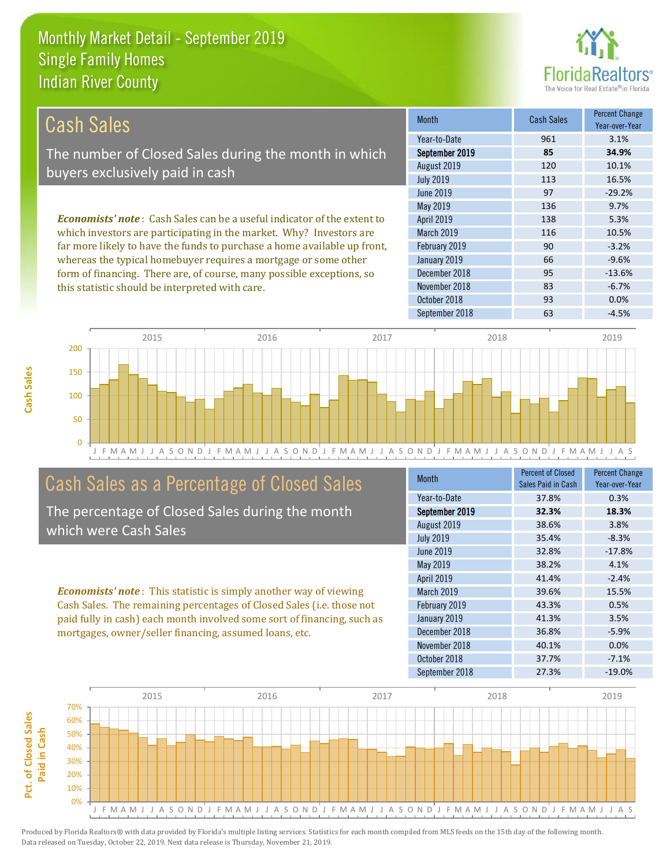this statistic should be interpreted with care.



83 -6.7%

| Cash Sales                                                                     | <b>Month</b>      | <b>Cash Sales</b> | <b>Percent Change</b><br>Year-over-Year |
|--------------------------------------------------------------------------------|-------------------|-------------------|-----------------------------------------|
|                                                                                | Year-to-Date      | 961               | 3.1%                                    |
| The number of Closed Sales during the month in which                           | September 2019    | 85                | 34.9%                                   |
| buyers exclusively paid in cash                                                | August 2019       | 120               | 10.1%                                   |
|                                                                                | <b>July 2019</b>  | 113               | 16.5%                                   |
|                                                                                | June 2019         | 97                | $-29.2%$                                |
|                                                                                | May 2019          | 136               | 9.7%                                    |
| <b>Economists' note:</b> Cash Sales can be a useful indicator of the extent to | <b>April 2019</b> | 138               | 5.3%                                    |
| which investors are participating in the market. Why? Investors are            | <b>March 2019</b> | 116               | 10.5%                                   |
| far more likely to have the funds to purchase a home available up front,       | February 2019     | 90                | $-3.2%$                                 |
| whereas the typical homebuyer requires a mortgage or some other                | January 2019      | 66                | $-9.6%$                                 |
| form of financing. There are, of course, many possible exceptions, so          | December 2018     | 95                | $-13.6%$                                |



### Cash Sales as a Percentage of Closed Sales

The percentage of Closed Sales during the month which were Cash Sales

*Economists' note* : This statistic is simply another way of viewing Cash Sales. The remaining percentages of Closed Sales (i.e. those not paid fully in cash) each month involved some sort of financing, such as mortgages, owner/seller financing, assumed loans, etc.

| Month            | <b>Percent of Closed</b><br>Sales Paid in Cash | <b>Percent Change</b><br>Year-over-Year |
|------------------|------------------------------------------------|-----------------------------------------|
| Year-to-Date     | 37.8%                                          | 0.3%                                    |
| September 2019   | 32.3%                                          | 18.3%                                   |
| August 2019      | 38.6%                                          | 3.8%                                    |
| <b>July 2019</b> | 35.4%                                          | $-8.3%$                                 |
| <b>June 2019</b> | 32.8%                                          | $-17.8%$                                |
| <b>May 2019</b>  | 38.2%                                          | 4.1%                                    |
| April 2019       | 41.4%                                          | $-2.4%$                                 |
| March 2019       | 39.6%                                          | 15.5%                                   |
| February 2019    | 43.3%                                          | 0.5%                                    |
| January 2019     | 41.3%                                          | 3.5%                                    |
| December 2018    | 36.8%                                          | $-5.9%$                                 |
| November 2018    | 40.1%                                          | 0.0%                                    |
| October 2018     | 37.7%                                          | $-7.1%$                                 |
| September 2018   | 27.3%                                          | $-19.0%$                                |

October 2018 **93** 0.0%

November 2018

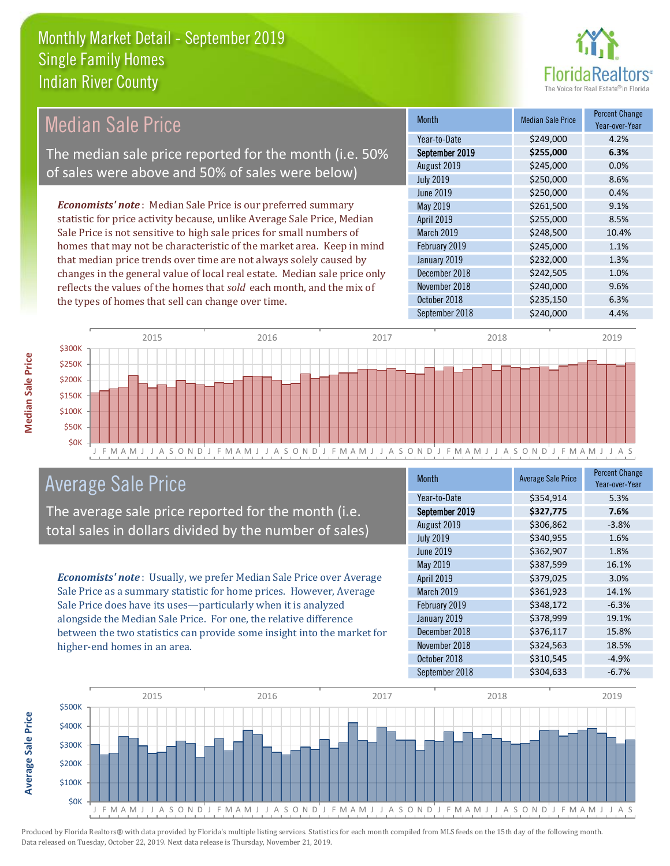

### Median Sale Price

The median sale price reported for the month (i.e. 50% of sales were above and 50% of sales were below)

*Economists' note* : Median Sale Price is our preferred summary statistic for price activity because, unlike Average Sale Price, Median Sale Price is not sensitive to high sale prices for small numbers of homes that may not be characteristic of the market area. Keep in mind that median price trends over time are not always solely caused by changes in the general value of local real estate. Median sale price only reflects the values of the homes that *sold* each month, and the mix of the types of homes that sell can change over time.

| <b>Month</b>     | <b>Median Sale Price</b> | <b>Percent Change</b><br>Year-over-Year |
|------------------|--------------------------|-----------------------------------------|
| Year-to-Date     | \$249,000                | 4.2%                                    |
| September 2019   | \$255,000                | 6.3%                                    |
| August 2019      | \$245,000                | 0.0%                                    |
| <b>July 2019</b> | \$250,000                | 8.6%                                    |
| June 2019        | \$250,000                | 0.4%                                    |
| May 2019         | \$261,500                | 9.1%                                    |
| April 2019       | \$255,000                | 8.5%                                    |
| March 2019       | \$248,500                | 10.4%                                   |
| February 2019    | \$245,000                | 1.1%                                    |
| January 2019     | \$232,000                | 1.3%                                    |
| December 2018    | \$242,505                | 1.0%                                    |
| November 2018    | \$240,000                | 9.6%                                    |
| October 2018     | \$235,150                | 6.3%                                    |
| September 2018   | \$240,000                | 4.4%                                    |



### Average Sale Price

The average sale price reported for the month (i.e. total sales in dollars divided by the number of sales)

*Economists' note* : Usually, we prefer Median Sale Price over Average Sale Price as a summary statistic for home prices. However, Average Sale Price does have its uses—particularly when it is analyzed alongside the Median Sale Price. For one, the relative difference between the two statistics can provide some insight into the market for higher-end homes in an area.

| <b>Month</b>      | <b>Average Sale Price</b> | <b>Percent Change</b><br>Year-over-Year |
|-------------------|---------------------------|-----------------------------------------|
| Year-to-Date      | \$354,914                 | 5.3%                                    |
| September 2019    | \$327,775                 | 7.6%                                    |
| August 2019       | \$306,862                 | $-3.8%$                                 |
| <b>July 2019</b>  | \$340,955                 | 1.6%                                    |
| <b>June 2019</b>  | \$362,907                 | 1.8%                                    |
| May 2019          | \$387,599                 | 16.1%                                   |
| <b>April 2019</b> | \$379,025                 | 3.0%                                    |
| March 2019        | \$361,923                 | 14.1%                                   |
| February 2019     | \$348,172                 | $-6.3%$                                 |
| January 2019      | \$378,999                 | 19.1%                                   |
| December 2018     | \$376,117                 | 15.8%                                   |
| November 2018     | \$324,563                 | 18.5%                                   |
| October 2018      | \$310,545                 | $-4.9%$                                 |
| September 2018    | \$304,633                 | $-6.7%$                                 |



**Average Sale Price**

**Average Sale Price** 

**Median Sale Price**

**Median Sale Price**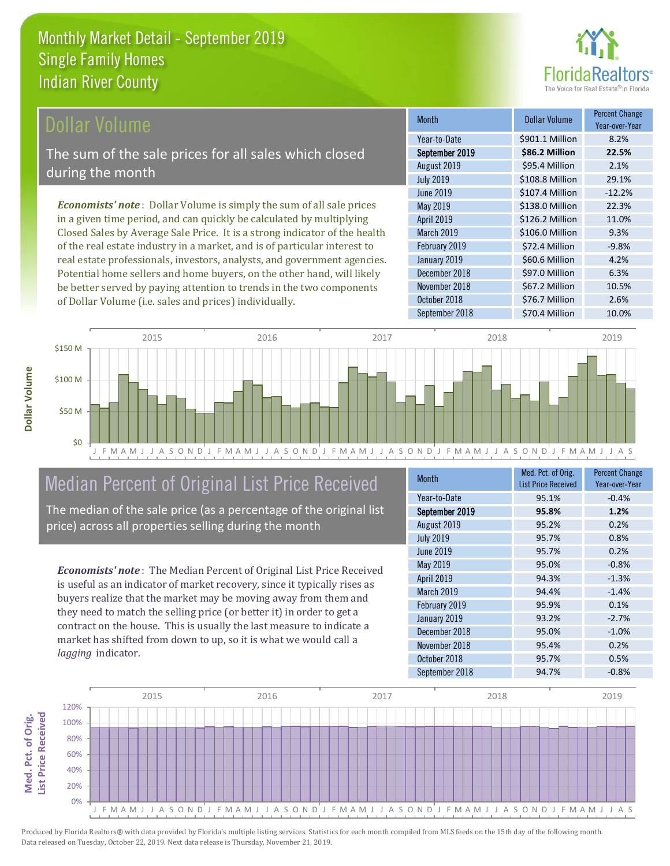

### **Ollar Volume**

The sum of the sale prices for all sales which closed during the month

*Economists' note* : Dollar Volume is simply the sum of all sale prices in a given time period, and can quickly be calculated by multiplying Closed Sales by Average Sale Price. It is a strong indicator of the health of the real estate industry in a market, and is of particular interest to real estate professionals, investors, analysts, and government agencies. Potential home sellers and home buyers, on the other hand, will likely be better served by paying attention to trends in the two components of Dollar Volume (i.e. sales and prices) individually.

| <b>Month</b>     | <b>Dollar Volume</b> | <b>Percent Change</b><br>Year-over-Year |
|------------------|----------------------|-----------------------------------------|
| Year-to-Date     | \$901.1 Million      | 8.2%                                    |
| September 2019   | \$86.2 Million       | 22.5%                                   |
| August 2019      | \$95.4 Million       | 2.1%                                    |
| <b>July 2019</b> | \$108.8 Million      | 29.1%                                   |
| <b>June 2019</b> | \$107.4 Million      | $-12.2%$                                |
| May 2019         | \$138.0 Million      | 22.3%                                   |
| April 2019       | \$126.2 Million      | 11.0%                                   |
| March 2019       | \$106.0 Million      | 9.3%                                    |
| February 2019    | \$72.4 Million       | $-9.8%$                                 |
| January 2019     | \$60.6 Million       | 4.2%                                    |
| December 2018    | \$97.0 Million       | 6.3%                                    |
| November 2018    | \$67.2 Million       | 10.5%                                   |
| October 2018     | \$76.7 Million       | 2.6%                                    |
| September 2018   | \$70.4 Million       | 10.0%                                   |



## Median Percent of Original List Price Received

The median of the sale price (as a percentage of the original list price) across all properties selling during the month

*Economists' note* : The Median Percent of Original List Price Received is useful as an indicator of market recovery, since it typically rises as buyers realize that the market may be moving away from them and they need to match the selling price (or better it) in order to get a contract on the house. This is usually the last measure to indicate a market has shifted from down to up, so it is what we would call a *lagging* indicator.

| <b>Month</b>     | Med. Pct. of Orig.<br><b>List Price Received</b> | <b>Percent Change</b><br>Year-over-Year |
|------------------|--------------------------------------------------|-----------------------------------------|
| Year-to-Date     | 95.1%                                            | $-0.4%$                                 |
| September 2019   | 95.8%                                            | 1.2%                                    |
| August 2019      | 95.2%                                            | 0.2%                                    |
| <b>July 2019</b> | 95.7%                                            | 0.8%                                    |
| <b>June 2019</b> | 95.7%                                            | 0.2%                                    |
| May 2019         | 95.0%                                            | $-0.8%$                                 |
| April 2019       | 94.3%                                            | $-1.3%$                                 |
| March 2019       | 94.4%                                            | $-1.4%$                                 |
| February 2019    | 95.9%                                            | 0.1%                                    |
| January 2019     | 93.2%                                            | $-2.7%$                                 |
| December 2018    | 95.0%                                            | $-1.0%$                                 |
| November 2018    | 95.4%                                            | 0.2%                                    |
| October 2018     | 95.7%                                            | 0.5%                                    |
| September 2018   | 94.7%                                            | $-0.8%$                                 |

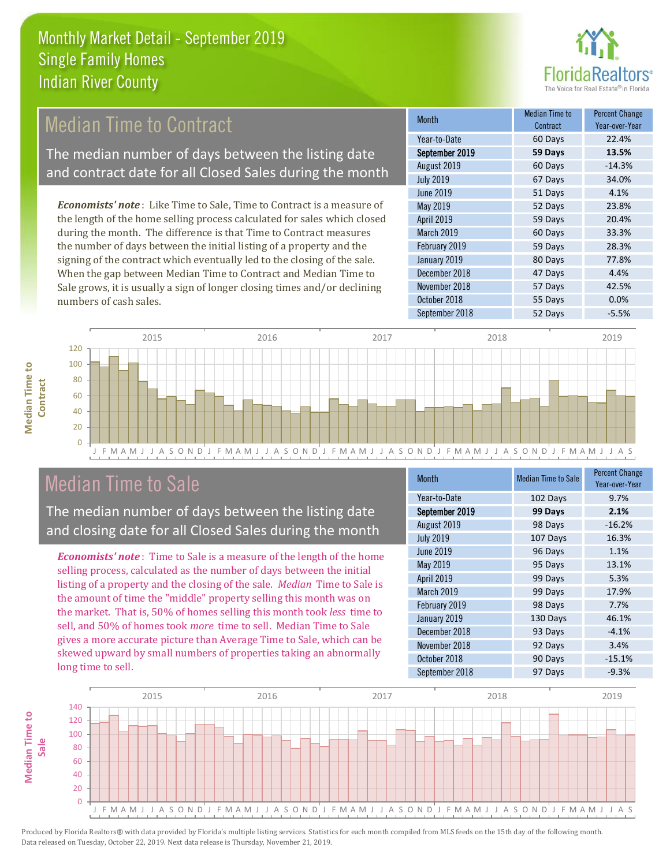

### **Median Time to Contract**

The median number of days between the listing date and contract date for all Closed Sales during the month

*Economists' note* : Like Time to Sale, Time to Contract is a measure of the length of the home selling process calculated for sales which closed during the month. The difference is that Time to Contract measures the number of days between the initial listing of a property and the signing of the contract which eventually led to the closing of the sale. When the gap between Median Time to Contract and Median Time to Sale grows, it is usually a sign of longer closing times and/or declining numbers of cash sales.

| <b>Month</b>     | Median Time to<br>Contract | <b>Percent Change</b><br>Year-over-Year |
|------------------|----------------------------|-----------------------------------------|
| Year-to-Date     | 60 Days                    | 22.4%                                   |
| September 2019   | 59 Days                    | 13.5%                                   |
| August 2019      | 60 Days                    | $-14.3%$                                |
| <b>July 2019</b> | 67 Days                    | 34.0%                                   |
| <b>June 2019</b> | 51 Days                    | 4.1%                                    |
| May 2019         | 52 Days                    | 23.8%                                   |
| April 2019       | 59 Days                    | 20.4%                                   |
| March 2019       | 60 Days                    | 33.3%                                   |
| February 2019    | 59 Days                    | 28.3%                                   |
| January 2019     | 80 Days                    | 77.8%                                   |
| December 2018    | 47 Days                    | 4.4%                                    |
| November 2018    | 57 Days                    | 42.5%                                   |
| October 2018     | 55 Days                    | 0.0%                                    |
| September 2018   | 52 Days                    | $-5.5%$                                 |



### Median Time to Sale

**Median Time to Contract**

**Median Time to** 

The median number of days between the listing date and closing date for all Closed Sales during the month

*Economists' note* : Time to Sale is a measure of the length of the home selling process, calculated as the number of days between the initial listing of a property and the closing of the sale. *Median* Time to Sale is the amount of time the "middle" property selling this month was on the market. That is, 50% of homes selling this month took *less* time to sell, and 50% of homes took *more* time to sell. Median Time to Sale gives a more accurate picture than Average Time to Sale, which can be skewed upward by small numbers of properties taking an abnormally long time to sell.

| Month            | <b>Median Time to Sale</b> | <b>Percent Change</b><br>Year-over-Year |
|------------------|----------------------------|-----------------------------------------|
| Year-to-Date     | 102 Days                   | 9.7%                                    |
| September 2019   | 99 Days                    | 2.1%                                    |
| August 2019      | 98 Days                    | $-16.2%$                                |
| <b>July 2019</b> | 107 Days                   | 16.3%                                   |
| June 2019        | 96 Days                    | 1.1%                                    |
| May 2019         | 95 Days                    | 13.1%                                   |
| April 2019       | 99 Days                    | 5.3%                                    |
| March 2019       | 99 Days                    | 17.9%                                   |
| February 2019    | 98 Days                    | 7.7%                                    |
| January 2019     | 130 Days                   | 46.1%                                   |
| December 2018    | 93 Days                    | $-4.1%$                                 |
| November 2018    | 92 Days                    | 3.4%                                    |
| October 2018     | 90 Days                    | $-15.1%$                                |
| September 2018   | 97 Days                    | $-9.3%$                                 |

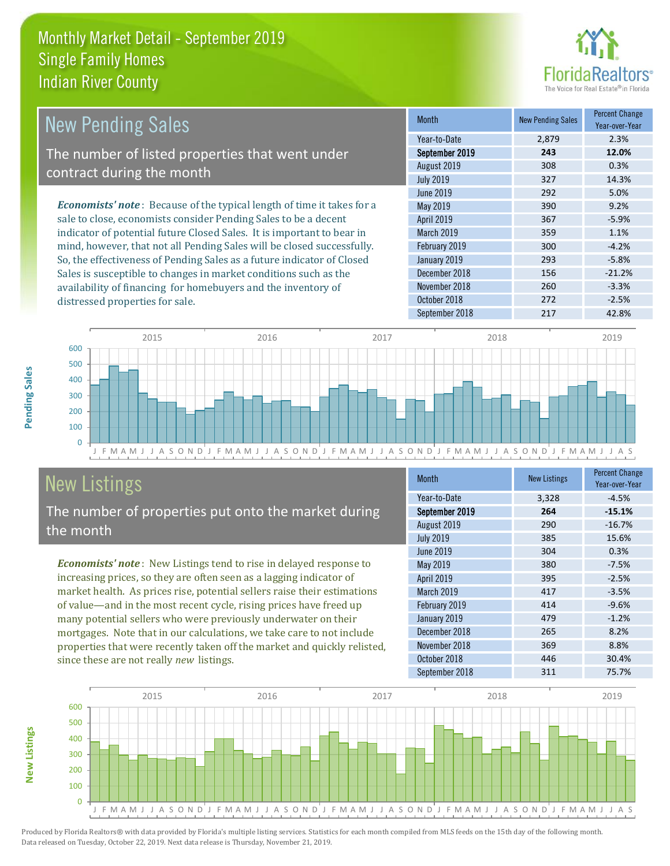

| New Pending Sales                                                             | <b>Month</b>      | <b>New Pending Sales</b> | <b>Percent Change</b><br>Year-over-Year |
|-------------------------------------------------------------------------------|-------------------|--------------------------|-----------------------------------------|
|                                                                               | Year-to-Date      | 2.879                    | 2.3%                                    |
| The number of listed properties that went under                               | September 2019    | 243                      | 12.0%                                   |
| contract during the month                                                     | August 2019       | 308                      | 0.3%                                    |
|                                                                               | <b>July 2019</b>  | 327                      | 14.3%                                   |
|                                                                               | June 2019         | 292                      | 5.0%                                    |
| <b>Economists' note:</b> Because of the typical length of time it takes for a | May 2019          | 390                      | 9.2%                                    |
| sale to close, economists consider Pending Sales to be a decent               | <b>April 2019</b> | 367                      | $-5.9%$                                 |
| indicator of potential future Closed Sales. It is important to bear in        | <b>March 2019</b> | 359                      | 1.1%                                    |
| mind, however, that not all Pending Sales will be closed successfully.        | February 2019     | 300                      | $-4.2%$                                 |
| So, the effectiveness of Pending Sales as a future indicator of Closed        | January 2019      | 293                      | $-5.8%$                                 |
| Sales is susceptible to changes in market conditions such as the              | December 2018     | 156                      | $-21.2%$                                |
| availability of financing for homebuyers and the inventory of                 | November 2018     | 260                      | $-3.3%$                                 |



# New Listings

distressed properties for sale.

The number of properties put onto the market during the month

*Economists' note* : New Listings tend to rise in delayed response to increasing prices, so they are often seen as a lagging indicator of market health. As prices rise, potential sellers raise their estimations of value—and in the most recent cycle, rising prices have freed up many potential sellers who were previously underwater on their mortgages. Note that in our calculations, we take care to not include properties that were recently taken off the market and quickly relisted, since these are not really *new* listings.

| <b>Month</b>     | <b>New Listings</b> | <b>Percent Change</b><br>Year-over-Year |
|------------------|---------------------|-----------------------------------------|
| Year-to-Date     | 3,328               | $-4.5%$                                 |
| September 2019   | 264                 | $-15.1%$                                |
| August 2019      | 290                 | $-16.7%$                                |
| <b>July 2019</b> | 385                 | 15.6%                                   |
| <b>June 2019</b> | 304                 | 0.3%                                    |
| May 2019         | 380                 | $-7.5%$                                 |
| April 2019       | 395                 | $-2.5%$                                 |
| March 2019       | 417                 | $-3.5%$                                 |
| February 2019    | 414                 | $-9.6%$                                 |
| January 2019     | 479                 | $-1.2%$                                 |
| December 2018    | 265                 | 8.2%                                    |
| November 2018    | 369                 | 8.8%                                    |
| October 2018     | 446                 | 30.4%                                   |
| September 2018   | 311                 | 75.7%                                   |

October 2018 272 272 -2.5%



Produced by Florida Realtors® with data provided by Florida's multiple listing services. Statistics for each month compiled from MLS feeds on the 15th day of the following month. Data released on Tuesday, October 22, 2019. Next data release is Thursday, November 21, 2019.

**New Listings**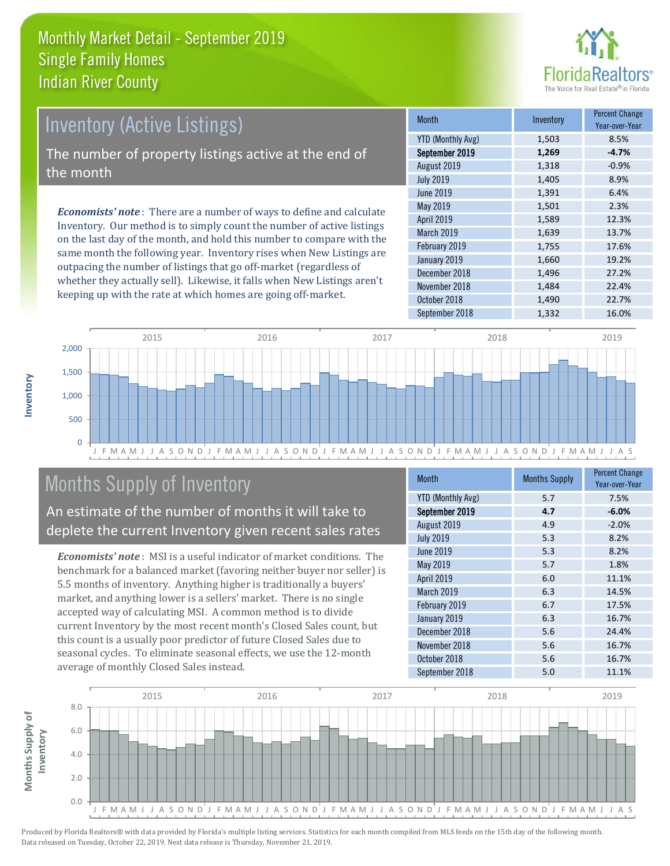

# *Economists' note* : There are a number of ways to define and calculate Inventory (Active Listings) The number of property listings active at the end of the month

Inventory. Our method is to simply count the number of active listings on the last day of the month, and hold this number to compare with the same month the following year. Inventory rises when New Listings are outpacing the number of listings that go off-market (regardless of whether they actually sell). Likewise, it falls when New Listings aren't keeping up with the rate at which homes are going off-market.

| <b>Month</b>             | Inventory | <b>Percent Change</b><br>Year-over-Year |
|--------------------------|-----------|-----------------------------------------|
| <b>YTD (Monthly Avg)</b> | 1,503     | 8.5%                                    |
| September 2019           | 1,269     | $-4.7%$                                 |
| August 2019              | 1,318     | $-0.9%$                                 |
| <b>July 2019</b>         | 1,405     | 8.9%                                    |
| <b>June 2019</b>         | 1,391     | 6.4%                                    |
| May 2019                 | 1,501     | 2.3%                                    |
| April 2019               | 1,589     | 12.3%                                   |
| March 2019               | 1,639     | 13.7%                                   |
| February 2019            | 1,755     | 17.6%                                   |
| January 2019             | 1,660     | 19.2%                                   |
| December 2018            | 1,496     | 27.2%                                   |
| November 2018            | 1,484     | 22.4%                                   |
| October 2018             | 1,490     | 22.7%                                   |
| September 2018           | 1,332     | 16.0%                                   |



### Months Supply of Inventory

An estimate of the number of months it will take to deplete the current Inventory given recent sales rates

*Economists' note* : MSI is a useful indicator of market conditions. The benchmark for a balanced market (favoring neither buyer nor seller) is 5.5 months of inventory. Anything higher is traditionally a buyers' market, and anything lower is a sellers' market. There is no single accepted way of calculating MSI. A common method is to divide current Inventory by the most recent month's Closed Sales count, but this count is a usually poor predictor of future Closed Sales due to seasonal cycles. To eliminate seasonal effects, we use the 12-month average of monthly Closed Sales instead.

| <b>Month</b>             | <b>Months Supply</b> | <b>Percent Change</b><br>Year-over-Year |
|--------------------------|----------------------|-----------------------------------------|
| <b>YTD (Monthly Avg)</b> | 5.7                  | 7.5%                                    |
| September 2019           | 4.7                  | $-6.0%$                                 |
| August 2019              | 4.9                  | $-2.0%$                                 |
| <b>July 2019</b>         | 5.3                  | 8.2%                                    |
| <b>June 2019</b>         | 5.3                  | 8.2%                                    |
| May 2019                 | 5.7                  | 1.8%                                    |
| <b>April 2019</b>        | 6.0                  | 11.1%                                   |
| March 2019               | 6.3                  | 14.5%                                   |
| February 2019            | 6.7                  | 17.5%                                   |
| January 2019             | 6.3                  | 16.7%                                   |
| December 2018            | 5.6                  | 24.4%                                   |
| November 2018            | 5.6                  | 16.7%                                   |
| October 2018             | 5.6                  | 16.7%                                   |
| September 2018           | 5.0                  | 11.1%                                   |

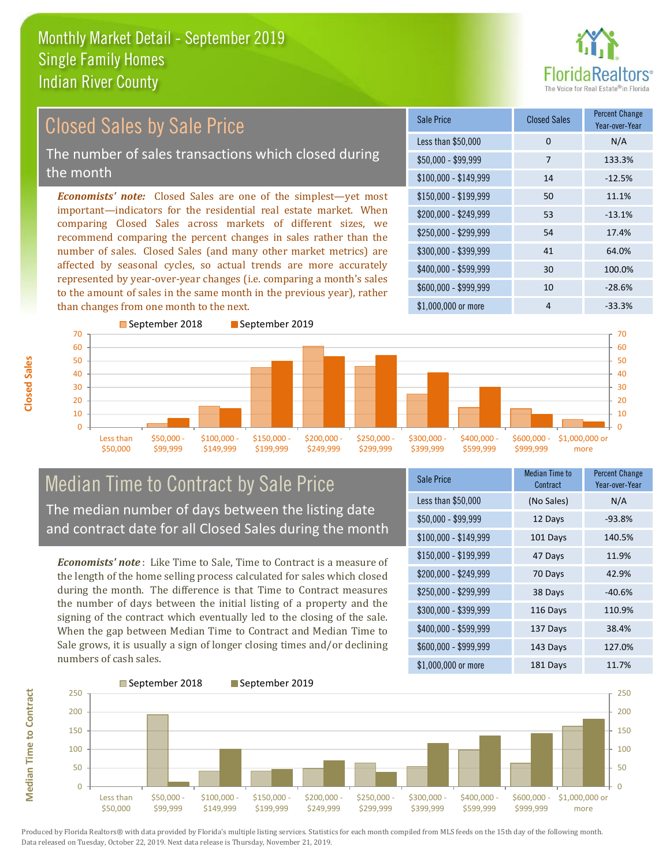

#### $$100,000 - $149,999$  14  $-12.5\%$ Sale Price Closed Sales Percent Change Year-over-Year Less than \$50,000 0 0 N/A \$50,000 - \$99,999 7 133.3% \$150,000 - \$199,999 50 11.1% \$200,000 - \$249,999 53 -13.1% \$400,000 - \$599,999 30 100.0% \$600,000 - \$999,999 10 -28.6% *Economists' note:* Closed Sales are one of the simplest—yet most important—indicators for the residential real estate market. When comparing Closed Sales across markets of different sizes, we recommend comparing the percent changes in sales rather than the number of sales. Closed Sales (and many other market metrics) are affected by seasonal cycles, so actual trends are more accurately represented by year-over-year changes (i.e. comparing a month's sales to the amount of sales in the same month in the previous year), rather than changes from one month to the next. \$1,000,000 or more 4  $-33.3\%$ \$250,000 - \$299,999 54 17.4% \$300,000 - \$399,999 41 64.0% September 2018 September 2019 Closed Sales by Sale Price The number of sales transactions which closed during the month



### Median Time to Contract by Sale Price The median number of days between the listing date and contract date for all Closed Sales during the month

*Economists' note* : Like Time to Sale, Time to Contract is a measure of the length of the home selling process calculated for sales which closed during the month. The difference is that Time to Contract measures the number of days between the initial listing of a property and the signing of the contract which eventually led to the closing of the sale. When the gap between Median Time to Contract and Median Time to Sale grows, it is usually a sign of longer closing times and/or declining numbers of cash sales.

| <b>Sale Price</b>     | <b>Median Time to</b><br>Contract | <b>Percent Change</b><br>Year-over-Year |
|-----------------------|-----------------------------------|-----------------------------------------|
| Less than \$50,000    | (No Sales)                        | N/A                                     |
| $$50,000 - $99,999$   | 12 Days                           | $-93.8%$                                |
| $$100,000 - $149,999$ | 101 Days                          | 140.5%                                  |
| $$150,000 - $199,999$ | 47 Days                           | 11.9%                                   |
| \$200,000 - \$249,999 | 70 Days                           | 42.9%                                   |
| \$250,000 - \$299,999 | 38 Days                           | $-40.6%$                                |
| \$300,000 - \$399,999 | 116 Days                          | 110.9%                                  |
| \$400,000 - \$599,999 | 137 Days                          | 38.4%                                   |
| \$600,000 - \$999,999 | 143 Days                          | 127.0%                                  |
| \$1,000,000 or more   | 181 Days                          | 11.7%                                   |



Produced by Florida Realtors® with data provided by Florida's multiple listing services. Statistics for each month compiled from MLS feeds on the 15th day of the following month. Data released on Tuesday, October 22, 2019. Next data release is Thursday, November 21, 2019.

**Median Time to Contract**

**Median Time to Contract**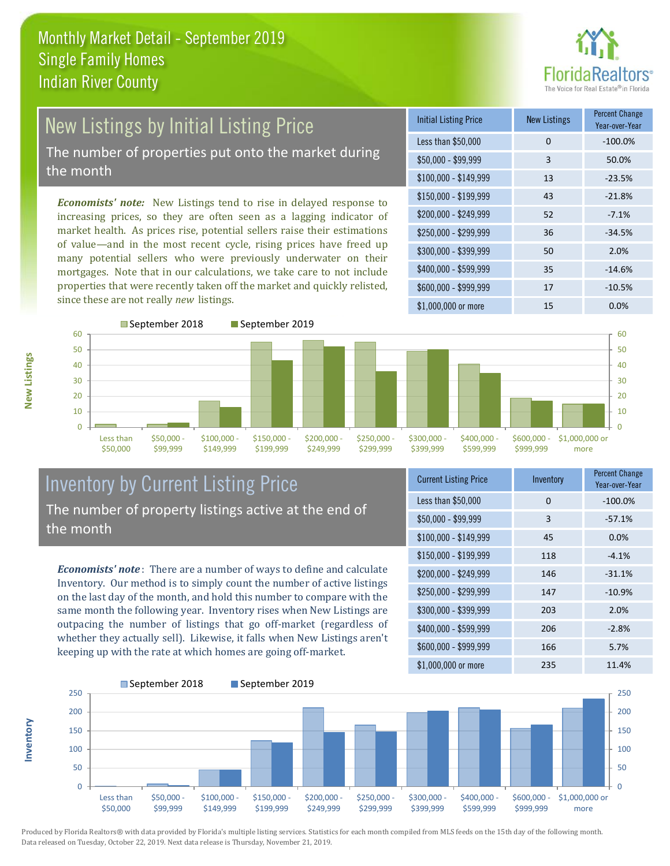

### New Listings by Initial Listing Price The number of properties put onto the market during

the month

*Economists' note:* New Listings tend to rise in delayed response to increasing prices, so they are often seen as a lagging indicator of market health. As prices rise, potential sellers raise their estimations of value—and in the most recent cycle, rising prices have freed up many potential sellers who were previously underwater on their mortgages. Note that in our calculations, we take care to not include properties that were recently taken off the market and quickly relisted, since these are not really *new* listings.

| <b>Initial Listing Price</b> | <b>New Listings</b> | <b>Percent Change</b><br>Year-over-Year |
|------------------------------|---------------------|-----------------------------------------|
| Less than \$50,000           | 0                   | $-100.0%$                               |
| \$50,000 - \$99,999          | 3                   | 50.0%                                   |
| $$100,000 - $149,999$        | 13                  | $-23.5%$                                |
| $$150,000 - $199,999$        | 43                  | $-21.8%$                                |
| \$200,000 - \$249,999        | 52                  | $-7.1%$                                 |
| \$250,000 - \$299,999        | 36                  | $-34.5%$                                |
| \$300,000 - \$399,999        | 50                  | 2.0%                                    |
| \$400,000 - \$599,999        | 35                  | $-14.6%$                                |
| \$600,000 - \$999,999        | 17                  | $-10.5%$                                |
| \$1,000,000 or more          | 15                  | $0.0\%$                                 |



#### Inventory by Current Listing Price The number of property listings active at the end of the month

*Economists' note* : There are a number of ways to define and calculate Inventory. Our method is to simply count the number of active listings on the last day of the month, and hold this number to compare with the same month the following year. Inventory rises when New Listings are outpacing the number of listings that go off-market (regardless of whether they actually sell). Likewise, it falls when New Listings aren't keeping up with the rate at which homes are going off-market.

| <b>Current Listing Price</b> | Inventory | <b>Percent Change</b><br>Year-over-Year |
|------------------------------|-----------|-----------------------------------------|
| Less than \$50,000           | 0         | $-100.0%$                               |
| $$50,000 - $99,999$          | 3         | $-57.1%$                                |
| $$100,000 - $149,999$        | 45        | 0.0%                                    |
| $$150,000 - $199,999$        | 118       | $-4.1%$                                 |
| \$200,000 - \$249,999        | 146       | $-31.1%$                                |
| \$250,000 - \$299,999        | 147       | $-10.9%$                                |
| \$300,000 - \$399,999        | 203       | 2.0%                                    |
| \$400,000 - \$599,999        | 206       | $-2.8%$                                 |
| \$600,000 - \$999,999        | 166       | 5.7%                                    |
| \$1,000,000 or more          | 235       | 11.4%                                   |



Produced by Florida Realtors® with data provided by Florida's multiple listing services. Statistics for each month compiled from MLS feeds on the 15th day of the following month. Data released on Tuesday, October 22, 2019. Next data release is Thursday, November 21, 2019.

**Inventory**